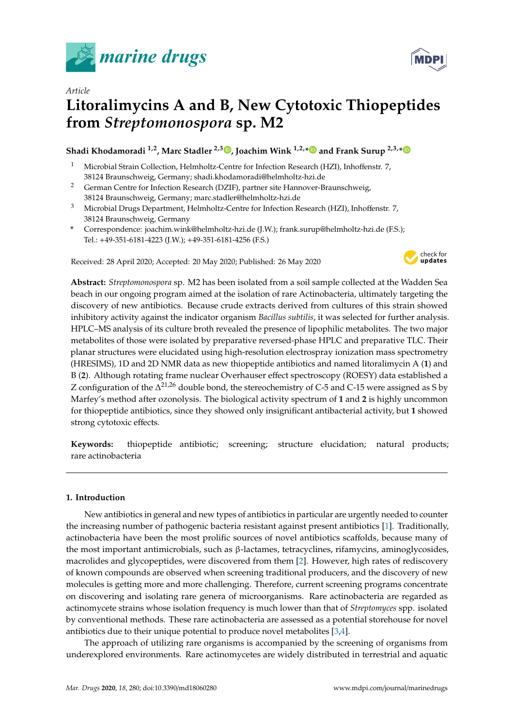

*Article*



# **Litoralimycins A and B, New Cytotoxic Thiopeptides from** *Streptomonospora* **sp. M2**

# **Shadi Khodamoradi 1,2, Marc Stadler 2,3 [,](https://orcid.org/0000-0002-7284-8671) Joachim Wink 1,2,[\\*](https://orcid.org/0000-0001-9675-0276) and Frank Surup 2,3,[\\*](https://orcid.org/0000-0001-5234-8525)**

- <sup>1</sup> Microbial Strain Collection, Helmholtz-Centre for Infection Research (HZI), Inhoffenstr. 7, 38124 Braunschweig, Germany; shadi.khodamoradi@helmholtz-hzi.de
- <sup>2</sup> German Centre for Infection Research (DZIF), partner site Hannover-Braunschweig, 38124 Braunschweig, Germany; marc.stadler@helmholtz-hzi.de
- <sup>3</sup> Microbial Drugs Department, Helmholtz-Centre for Infection Research (HZI), Inhoffenstr. 7, 38124 Braunschweig, Germany
- **\*** Correspondence: joachim.wink@helmholtz-hzi.de (J.W.); frank.surup@helmholtz-hzi.de (F.S.); Tel.: +49-351-6181-4223 (J.W.); +49-351-6181-4256 (F.S.)

Received: 28 April 2020; Accepted: 20 May 2020; Published: 26 May 2020



**Abstract:** *Streptomonospora* sp. M2 has been isolated from a soil sample collected at the Wadden Sea beach in our ongoing program aimed at the isolation of rare Actinobacteria, ultimately targeting the discovery of new antibiotics. Because crude extracts derived from cultures of this strain showed inhibitory activity against the indicator organism *Bacillus subtilis*, it was selected for further analysis. HPLC–MS analysis of its culture broth revealed the presence of lipophilic metabolites. The two major metabolites of those were isolated by preparative reversed-phase HPLC and preparative TLC. Their planar structures were elucidated using high-resolution electrospray ionization mass spectrometry (HRESIMS), 1D and 2D NMR data as new thiopeptide antibiotics and named litoralimycin A (**1**) and B (**2**). Although rotating frame nuclear Overhauser effect spectroscopy (ROESY) data established a Z configuration of the  $\Delta^{21,26}$  double bond, the stereochemistry of C-5 and C-15 were assigned as S by Marfey's method after ozonolysis. The biological activity spectrum of **1** and **2** is highly uncommon for thiopeptide antibiotics, since they showed only insignificant antibacterial activity, but **1** showed strong cytotoxic effects.

**Keywords:** thiopeptide antibiotic; screening; structure elucidation; natural products; rare actinobacteria

## **1. Introduction**

New antibiotics in general and new types of antibiotics in particular are urgently needed to counter the increasing number of pathogenic bacteria resistant against present antibiotics [\[1\]](#page-7-0). Traditionally, actinobacteria have been the most prolific sources of novel antibiotics scaffolds, because many of the most important antimicrobials, such as β-lactames, tetracyclines, rifamycins, aminoglycosides, macrolides and glycopeptides, were discovered from them [\[2\]](#page-7-1). However, high rates of rediscovery of known compounds are observed when screening traditional producers, and the discovery of new molecules is getting more and more challenging. Therefore, current screening programs concentrate on discovering and isolating rare genera of microorganisms. Rare actinobacteria are regarded as actinomycete strains whose isolation frequency is much lower than that of *Streptomyces* spp. isolated by conventional methods. These rare actinobacteria are assessed as a potential storehouse for novel antibiotics due to their unique potential to produce novel metabolites [\[3](#page-7-2)[,4\]](#page-7-3).

The approach of utilizing rare organisms is accompanied by the screening of organisms from underexplored environments. Rare actinomycetes are widely distributed in terrestrial and aquatic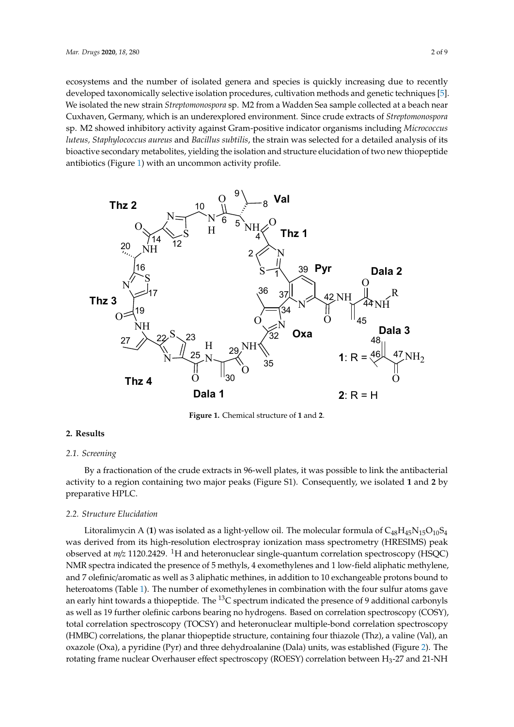ecosystems and the number of isolated genera and species is quickly increasing due to recently ecosystems and the number of isolated genera and species is quickly increasing due to recently developed taxonomically selective isolation procedures, cultivation methods and genetic techniques [\[5\]](#page-7-4). developed taxonomically selective isolation procedures, cultivation methods and genetic techniques We isolated the new strain *Streptomonospora* sp. M2 from a Wadden Sea sample collected at a beach near [5]. We isolated the new strain *Streptomonospora* sp. M2 from a Wadden Sea sample collected at a Cuxhaven, Germany, which is an underexplored environment. Since crude extracts of *Streptomonospora* sp. M2 showed inhibitory activity against Gram-positive indicator organisms including *Micrococcus* luteus, Staphylococcus aureus and Bacillus subtilis, the strain was selected for a detailed analysis of its<br>. bioactive secondary metabolites, yielding the isolation and structure elucidation of two new thiopeptide detailed analysis of its bioactive secondary metabolites, yielding the isolation and structure antibiotics (Figure [1\)](#page-1-0) with an uncommon activity profile.

<span id="page-1-0"></span>

**Figure 1.** Chemical structure of **1** and **2**. **Figure 1.** Chemical structure of **1** and **2**.

#### **2. Results**

#### *2.1. Screening*

*2.1. Screening*  activity to a region containing two major peaks (Figure S1). Consequently, we isolated 1 and 2 by preparative HPLC. By a fractionation of the crude extracts in 96-well plates, it was possible to link the antibacterial

### *2.2. Structure Elucidation*

Litoralimycin A (1) was isolated as a light-yellow oil. The molecular formula of C<sub>48</sub>H<sub>45</sub>N<sub>15</sub>O<sub>10</sub>S<sub>4</sub> was derived from its high-resolution electrospray ionization mass spectrometry (HRESIMS) peak observed at *m*/*z* 1120.2429. <sup>1</sup>H and heteronuclear single-quantum correlation spectroscopy (HSQC) NMR spectra indicated the presence of 5 methyls, 4 exomethylenes and 1 low-field aliphatic methylene, and 7 olefinic/aromatic as well as 3 aliphatic methines, in addition to 10 exchangeable protons bound to heteroatoms (Table 1). The number of exomethylenes in combination with the four sulfur atoms gave an early hint towards a thiopeptide. The <sup>13</sup>C spectrum indicated the presence of 9 additional carbonyls as well as 19 further olefinic carbons bearing no hydrogens. Based on correlation spectroscopy (COSY), total correlation spectroscopy (TOCSY) and heteronuclear multiple-bond correlation spectroscopy (HMBC) correlations, the planar thiopeptide structure, containing four thiazole (Thz), a valine (Val), an oxazole (Oxa), a pyridine (Pyr) and three dehydroala[nin](#page-3-0)e (Dala) units, was established (Figure 2). The rotating frame nuclear Overhauser effect spectroscopy (ROESY) correlation between  $H_3$ -27 and 21-NH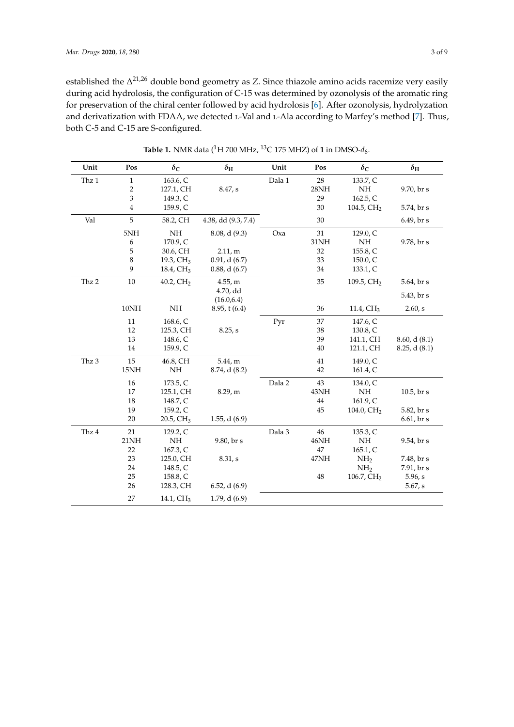established the ∆ 21,26 double bond geometry as *Z*. Since thiazole amino acids racemize very easily during acid hydrolosis, the configuration of C-15 was determined by ozonolysis of the aromatic ring for preservation of the chiral center followed by acid hydrolosis [\[6\]](#page-7-5). After ozonolysis, hydrolyzation and derivatization with FDAA, we detected L-Val and L-Ala according to Marfey's method [\[7\]](#page-7-6). Thus, both C-5 and C-15 are S-configured.

<span id="page-2-0"></span>

| Unit  | Pos                       | $\delta_{\rm C}$         | $\delta_{\rm H}$        | Unit   | Pos             | $\delta_{\rm C}$       | $\delta_{\rm H}$ |
|-------|---------------------------|--------------------------|-------------------------|--------|-----------------|------------------------|------------------|
| Thz 1 | $\mathbf{1}$              | 163.6, C                 |                         | Dala 1 | 28              | 133.7, C               |                  |
|       | $\sqrt{2}$                | 127.1, CH                | 8.47, s                 |        | $28\mathrm{NH}$ | NH                     | 9.70, br s       |
|       | $\ensuremath{\mathsf{3}}$ | 149.3, C                 |                         |        | 29              | 162.5, C               |                  |
|       | $\overline{4}$            | 159.9, C                 |                         |        | 30              | 104.5, $CH2$           | 5.74, br s       |
| Val   | $\sqrt{5}$                | 58.2, CH                 | 4.38, dd (9.3, 7.4)     |        | 30              |                        | 6.49, br s       |
|       | 5NH                       | NH                       | 8.08, d(9.3)            | Oxa    | 31              | 129.0, C               |                  |
|       | 6                         | 170.9, C                 |                         |        | 31NH            | NH                     | 9.78, br s       |
|       | 5                         | 30.6, CH                 | 2.11,m                  |        | $32\,$          | 155.8, C               |                  |
|       | 8                         | 19.3, CH <sub>3</sub>    | 0.91, d(6.7)            |        | 33              | 150.0, C               |                  |
|       | 9                         | 18.4, CH <sub>3</sub>    | $0.88$ , d $(6.7)$      |        | 34              | 133.1, C               |                  |
| Thz 2 | 10                        | 40.2, CH <sub>2</sub>    | 4.55, m                 |        | 35              | 109.5, CH <sub>2</sub> | 5.64, br s       |
|       |                           |                          | 4.70, dd<br>(16.0, 6.4) |        |                 |                        | 5.43, br s       |
|       | $10\mathrm{NH}$           | $\rm{NH}$                | $8.95$ , t $(6.4)$      |        | 36              | 11.4, CH <sub>3</sub>  | 2.60, s          |
|       | 11                        | 168.6, C                 |                         | Pyr    | 37              | 147.6, C               |                  |
|       | 12                        | 125.3, CH                | 8.25, s                 |        | 38              | 130.8, C               |                  |
|       | 13                        | 148.6, C                 |                         |        | 39              | 141.1, CH              | 8.60, d(8.1)     |
|       | 14                        | 159.9, C                 |                         |        | 40              | 121.1, CH              | 8.25, d(8.1)     |
| Thz 3 | 15                        | 46.8, CH                 | 5.44, m                 |        | 41              | 149.0, C               |                  |
|       | 15NH                      | NH                       | $8.74$ , d $(8.2)$      |        | 42              | 161.4, C               |                  |
|       | 16                        | 173.5, C                 |                         | Dala 2 | 43              | 134.0, C               |                  |
|       | 17                        | 125.1, CH                | 8.29, m                 |        | 43NH            | NH                     | $10.5$ , br s    |
|       | 18                        | 148.7, C                 |                         |        | 44              | 161.9, C               |                  |
|       | 19                        | 159.2, C                 |                         |        | 45              | 104.0, $CH2$           | 5.82, br s       |
|       | 20                        | $20.5$ , CH <sub>3</sub> | 1.55, d $(6.9)$         |        |                 |                        | 6.61, br s       |
| Thz 4 | 21                        | 129.2, C                 |                         | Dala 3 | 46              | 135.3, C               |                  |
|       | 21NH                      | NH                       | 9.80, br s              |        | 46NH            | $\rm NH$               | 9.54, br s       |
|       | 22                        | 167.3, C                 |                         |        | 47              | 165.1, C               |                  |
|       | 23                        | 125.0, CH                | 8.31, s                 |        | 47NH            | NH <sub>2</sub>        | 7.48, br s       |
|       | 24                        | 148.5, C                 |                         |        |                 | NH <sub>2</sub>        | 7.91, br s       |
|       | 25                        | 158.8, C                 |                         |        | 48              | 106.7, CH <sub>2</sub> | 5.96, s          |
|       | 26                        | 128.3, CH                | 6.52, d(6.9)            |        |                 |                        | 5.67, s          |
|       | 27                        | 14.1, CH <sub>3</sub>    | 1.79, $d(6.9)$          |        |                 |                        |                  |

**Table 1.** NMR data (<sup>1</sup>H 700 MHz, <sup>13</sup>C 175 MHZ) of **1** in DMSO- $d_6$ .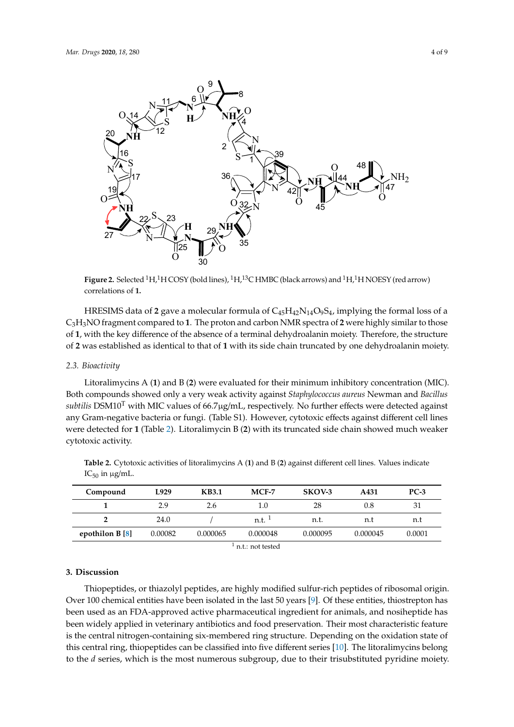<span id="page-3-0"></span>

**Figure 2. Associate** 1. **Selected** 1. **Selected** 1. **Selected** 1. **Selected** 1. **Selected** 1. **Selected** 1. **Selected** 1. **Selected** 1. **Selected** 1. **Selected** 1. **Selected** 1. **Selected** 1. **Selected** 1. **Selected** 1. arrow) correlations of **1. Figure 2.** Selected <sup>1</sup>H,<sup>1</sup>H COSY (bold lines), <sup>1</sup>H,<sup>13</sup>C HMBC (black arrows) and <sup>1</sup>H,<sup>1</sup>H NOESY (red arrow) correlations of **1.**

C<sub>3</sub>H<sub>3</sub>NO fragment compared to **1**. The proton and carbon NMR spectra of **2** were highly similar to those C3H3NO fragment compared to **1**. The proton and carbon NMR spectra of **2** were highly similar to of **1**, with the key difference of the absence of a terminal dehydroalanin moiety. Therefore, the structure of **2** was established as identical to that of **1** with its side chain truncated by one dehydroalanin moiety. HRESIMS data of 2 gave a molecular formula of  $C_{45}H_{42}N_{14}O_9S_4$ , implying the formal loss of a

# dehydroalanin moiety. *2.3. Bioactivity*

*2.3. Bioactivity*  Litoralimycins A (**1**) and B (**2**) were evaluated for their minimum inhibitory concentration (MIC). Both compounds showed only a very weak activity against *Staphylococcus aureus* Newman and *Bacillus*<br>Jeilie DO 500 100 minimum in 1990 minimum in 1990 minimum in 1990 minimum in 1990 minimum in 1990 minimum in 1 *subtilis* DSM10<sup>T</sup> with MIC values of 66.7µg/mL, respectively. No further effects were detected against any Gram-negative bacteria or fungi. (Table S1). However, cytotoxic effects against different cell lines were detected for **1** (Table [2\)](#page-3-1). Litoralimycin B <mark>(2)</mark> with its truncated side chain showed much weaker cell **1** (Table 2). Lines were detected for  $\alpha$  and  $\alpha$  in B ( $\alpha$ ) with its truncated side chain showed much showed much showed much showed much showed much showed much showed much showed much showed much showed much sh cytotoxic activity.

| Compound              | L929    | <b>KB3.1</b> | $MCF-7$  | SKOV-3   | A431     | $PC-3$ |  |  |  |  |
|-----------------------|---------|--------------|----------|----------|----------|--------|--|--|--|--|
|                       | 2.9     | 2.6          | 1.0      | 28       | 0.8      | 31     |  |  |  |  |
|                       | 24.0    |              | n.t.     | n.t.     | n.t      | n.t    |  |  |  |  |
| epothilon $B[8]$      | 0.00082 | 0.000065     | 0.000048 | 0.000095 | 0.000045 | 0.0001 |  |  |  |  |
| أمصاصصا الصحير البحار |         |              |          |          |          |        |  |  |  |  |

<span id="page-3-1"></span>weaker cytotoxic activity.  $\tau_{50}$  in  $\mu$ g/m*L*. **Table 2.** Cytotoxic activities of litoralimycins A (**1**) and B (**2**) against different cell lines. Values indicate  $IC_{50}$  in  $\mu$ g/mL.

 $\frac{1}{1}$  n.t.: not tested

#### **3. Discussion 3. Discussion**

Thiopeptides, or thiazolyl peptides, are highly modified sulfur-rich peptides of ribosomal origin. Thiopeptides, or thiazolyl peptides, are highly modified sulfur-rich peptides of ribosomal origin. Over 100 chemical entities have been isolated in the last 50 years [9]. Of these entities, thiostrepton Over 100 chemical entities have been isolated in the last 50 years [\[9\]](#page-7-8). Of these entities, thiostrepton has been used as an FDA-approved active pharmaceutical ingredient for animals, and nosiheptide has been widely applied in veterinary antibiotics and food preservation. Their most characteristic feature is the central nitrogen-containing six-membered ring structure. Depending on the oxidation state of this central ring, thiopeptides can be classified into five different series [\[10\]](#page-7-9). The litoralimycins belong to the *d* series, which is the most numerous subgroup, due to their trisubstituted pyridine moiety.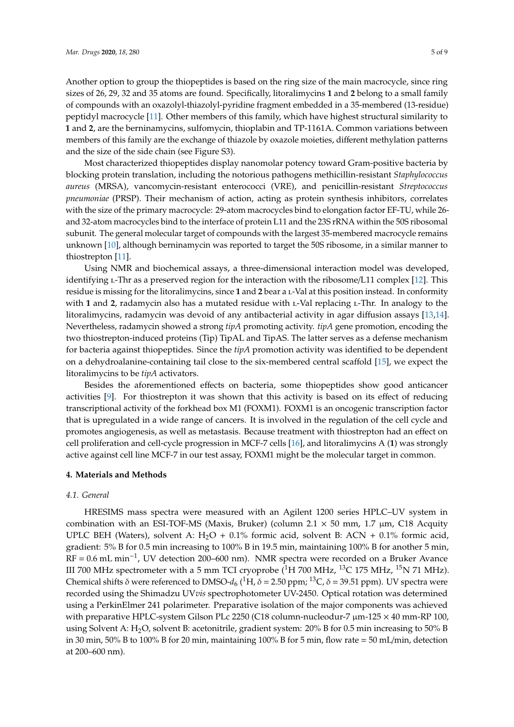Another option to group the thiopeptides is based on the ring size of the main macrocycle, since ring sizes of 26, 29, 32 and 35 atoms are found. Specifically, litoralimycins **1** and **2** belong to a small family of compounds with an oxazolyl-thiazolyl-pyridine fragment embedded in a 35-membered (13-residue) peptidyl macrocycle [\[11\]](#page-7-10). Other members of this family, which have highest structural similarity to **1** and **2**, are the berninamycins, sulfomycin, thioplabin and TP-1161A. Common variations between members of this family are the exchange of thiazole by oxazole moieties, different methylation patterns and the size of the side chain (see Figure S3).

Most characterized thiopeptides display nanomolar potency toward Gram-positive bacteria by blocking protein translation, including the notorious pathogens methicillin-resistant *Staphylococcus aureus* (MRSA), vancomycin-resistant enterococci (VRE), and penicillin-resistant *Streptococcus pneumoniae* (PRSP). Their mechanism of action, acting as protein synthesis inhibitors, correlates with the size of the primary macrocycle: 29-atom macrocycles bind to elongation factor EF-TU, while 26 and 32-atom macrocycles bind to the interface of protein L11 and the 23S rRNA within the 50S ribosomal subunit. The general molecular target of compounds with the largest 35-membered macrocycle remains unknown [\[10\]](#page-7-9), although berninamycin was reported to target the 50S ribosome, in a similar manner to thiostrepton [\[11\]](#page-7-10).

Using NMR and biochemical assays, a three-dimensional interaction model was developed, identifying *L*-Thr as a preserved region for the interaction with the ribosome/L11 complex [\[12\]](#page-7-11). This residue is missing for the litoralimycins, since **1** and **2** bear a l-Val at this position instead. In conformity with 1 and 2, radamycin also has a mutated residue with *L*-Val replacing *L*-Thr. In analogy to the litoralimycins, radamycin was devoid of any antibacterial activity in agar diffusion assays [\[13,](#page-7-12)[14\]](#page-7-13). Nevertheless, radamycin showed a strong *tipA* promoting activity. *tipA* gene promotion, encoding the two thiostrepton-induced proteins (Tip) TipAL and TipAS. The latter serves as a defense mechanism for bacteria against thiopeptides. Since the *tipA* promotion activity was identified to be dependent on a dehydroalanine-containing tail close to the six-membered central scaffold [\[15\]](#page-7-14), we expect the litoralimycins to be *tipA* activators.

Besides the aforementioned effects on bacteria, some thiopeptides show good anticancer activities [\[9\]](#page-7-8). For thiostrepton it was shown that this activity is based on its effect of reducing transcriptional activity of the forkhead box M1 (FOXM1). FOXM1 is an oncogenic transcription factor that is upregulated in a wide range of cancers. It is involved in the regulation of the cell cycle and promotes angiogenesis, as well as metastasis. Because treatment with thiostrepton had an effect on cell proliferation and cell-cycle progression in MCF-7 cells [\[16\]](#page-8-0), and litoralimycins A (**1**) was strongly active against cell line MCF-7 in our test assay, FOXM1 might be the molecular target in common.

#### **4. Materials and Methods**

#### *4.1. General*

HRESIMS mass spectra were measured with an Agilent 1200 series HPLC–UV system in combination with an ESI-TOF-MS (Maxis, Bruker) (column 2.1  $\times$  50 mm, 1.7 µm, C18 Acquity UPLC BEH (Waters), solvent A:  $H_2O + 0.1\%$  formic acid, solvent B: ACN + 0.1% formic acid, gradient: 5% B for 0.5 min increasing to 100% B in 19.5 min, maintaining 100% B for another 5 min, RF = 0.6 mL min−<sup>1</sup> , UV detection 200–600 nm). NMR spectra were recorded on a Bruker Avance III 700 MHz spectrometer with a 5 mm TCI cryoprobe  $(^1H$  700 MHz,  $^{13}C$  175 MHz,  $^{15}N$  71 MHz). Chemical shifts δ were referenced to DMSO- $d_6$  (<sup>1</sup>H, δ = 2.50 ppm; <sup>13</sup>C, δ = 39.51 ppm). UV spectra were recorded using the Shimadzu UV*vis* spectrophotometer UV-2450. Optical rotation was determined using a PerkinElmer 241 polarimeter. Preparative isolation of the major components was achieved with preparative HPLC-system Gilson PLc 2250 (C18 column-nucleodur-7  $\mu$ m-125  $\times$  40 mm-RP 100, using Solvent A: H<sub>2</sub>O, solvent B: acetonitrile, gradient system: 20% B for 0.5 min increasing to 50% B in 30 min, 50% B to 100% B for 20 min, maintaining 100% B for 5 min, flow rate = 50 mL/min, detection at 200–600 nm).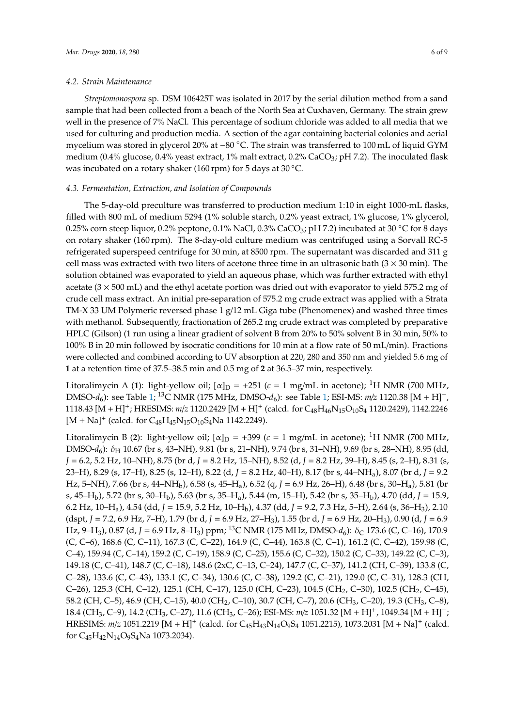*Streptomonospora* sp. DSM 106425T was isolated in 2017 by the serial dilution method from a sand sample that had been collected from a beach of the North Sea at Cuxhaven, Germany. The strain grew well in the presence of 7% NaCl. This percentage of sodium chloride was added to all media that we used for culturing and production media. A section of the agar containing bacterial colonies and aerial mycelium was stored in glycerol 20% at −80 ◦C. The strain was transferred to 100 mL of liquid GYM medium (0.4% glucose, 0.4% yeast extract, 1% malt extract, 0.2% CaCO<sub>3</sub>; pH 7.2). The inoculated flask was incubated on a rotary shaker (160 rpm) for 5 days at 30 ◦C.

#### *4.3. Fermentation, Extraction, and Isolation of Compounds*

The 5-day-old preculture was transferred to production medium 1:10 in eight 1000-mL flasks, filled with 800 mL of medium 5294 (1% soluble starch, 0.2% yeast extract, 1% glucose, 1% glycerol, 0.25% corn steep liquor, 0.2% peptone, 0.1% NaCl, 0.3% CaCO<sub>3</sub>; pH 7.2) incubated at 30 °C for 8 days on rotary shaker (160 rpm). The 8-day-old culture medium was centrifuged using a Sorvall RC-5 refrigerated superspeed centrifuge for 30 min, at 8500 rpm. The supernatant was discarded and 311 g cell mass was extracted with two liters of acetone three time in an ultrasonic bath  $(3 \times 30 \text{ min})$ . The solution obtained was evaporated to yield an aqueous phase, which was further extracted with ethyl acetate  $(3 \times 500 \text{ mL})$  and the ethyl acetate portion was dried out with evaporator to yield 575.2 mg of crude cell mass extract. An initial pre-separation of 575.2 mg crude extract was applied with a Strata TM-X 33 UM Polymeric reversed phase 1 g/12 mL Giga tube (Phenomenex) and washed three times with methanol. Subsequently, fractionation of 265.2 mg crude extract was completed by preparative HPLC (Gilson) (1 run using a linear gradient of solvent B from 20% to 50% solvent B in 30 min, 50% to 100% B in 20 min followed by isocratic conditions for 10 min at a flow rate of 50 mL/min). Fractions were collected and combined according to UV absorption at 220, 280 and 350 nm and yielded 5.6 mg of **1** at a retention time of 37.5–38.5 min and 0.5 mg of **2** at 36.5–37 min, respectively.

Litoralimycin A (1): light-yellow oil;  $[\alpha]_D = +251$  ( $c = 1$  mg/mL in acetone); <sup>1</sup>H NMR (700 MHz, DMSO-*d*6): see Table [1;](#page-2-0) <sup>13</sup>C NMR (175 MHz, DMSO-*d*6): see Table [1;](#page-2-0) ESI-MS: *m*/*z* 1120.38 [M + H]+, 1118.43 [M + H]<sup>+</sup>; HRESIMS: *m*/*z* 1120.2429 [M + H]<sup>+</sup> (calcd. for C<sub>48</sub>H<sub>46</sub>N<sub>15</sub>O<sub>10</sub>S<sub>4</sub> 1120.2429), 1142.2246  $[M + Na]$ <sup>+</sup> (calcd. for C<sub>48</sub>H<sub>45</sub>N<sub>15</sub>O<sub>10</sub>S<sub>4</sub>Na 1142.2249).

Litoralimycin B (2): light-yellow oil;  $\alpha|_D = +399$  ( $c = 1$  mg/mL in acetone); <sup>1</sup>H NMR (700 MHz, DMSO-*d*<sub>6</sub>): δ<sub>H</sub> 10.67 (br s, 43–NH), 9.81 (br s, 21–NH), 9.74 (br s, 31–NH), 9.69 (br s, 28–NH), 8.95 (dd, *J* = 6.2, 5.2 Hz, 10–NH), 8.75 (br d, *J* = 8.2 Hz, 15–NH), 8.52 (d, *J* = 8.2 Hz, 39–H), 8.45 (s, 2–H), 8.31 (s, 23–H), 8.29 (s, 17–H), 8.25 (s, 12–H), 8.22 (d, *J* = 8.2 Hz, 40–H), 8.17 (br s, 44–NHa), 8.07 (br d, *J* = 9.2 Hz, 5–NH), 7.66 (br s, 44–NHb), 6.58 (s, 45–Ha), 6.52 (q, *J* = 6.9 Hz, 26–H), 6.48 (br s, 30–Ha), 5.81 (br s, 45–Hb), 5.72 (br s, 30–Hb), 5.63 (br s, 35–Ha), 5.44 (m, 15–H), 5.42 (br s, 35–Hb), 4.70 (dd, *J* = 15.9, 6.2 Hz, 10–Ha), 4.54 (dd, *J* = 15.9, 5.2 Hz, 10–Hb), 4.37 (dd, *J* = 9.2, 7.3 Hz, 5–H), 2.64 (s, 36–H3), 2.10 (dspt, *J* = 7.2, 6.9 Hz, 7–H), 1.79 (br d, *J* = 6.9 Hz, 27–H3), 1.55 (br d, *J* = 6.9 Hz, 20–H3), 0.90 (d, *J* = 6.9 Hz, 9–H<sub>3</sub>), 0.87 (d, *J* = 6.9 Hz, 8–H<sub>3</sub>) ppm; <sup>13</sup>C NMR (175 MHz, DMSO-d<sub>6</sub>): δ<sub>C</sub> 173.6 (C, C–16), 170.9 (C, C–6), 168.6 (C, C–11), 167.3 (C, C–22), 164.9 (C, C–44), 163.8 (C, C–1), 161.2 (C, C–42), 159.98 (C, C–4), 159.94 (C, C–14), 159.2 (C, C–19), 158.9 (C, C–25), 155.6 (C, C–32), 150.2 (C, C–33), 149.22 (C, C–3), 149.18 (C, C–41), 148.7 (C, C–18), 148.6 (2xC, C–13, C–24), 147.7 (C, C–37), 141.2 (CH, C–39), 133.8 (C, C–28), 133.6 (C, C–43), 133.1 (C, C–34), 130.6 (C, C–38), 129.2 (C, C–21), 129.0 (C, C–31), 128.3 (CH, C–26), 125.3 (CH, C–12), 125.1 (CH, C–17), 125.0 (CH, C–23), 104.5 (CH<sub>2</sub>, C–30), 102.5 (CH<sub>2</sub>, C–45), 58.2 (CH, C–5), 46.9 (CH, C–15), 40.0 (CH2, C–10), 30.7 (CH, C–7), 20.6 (CH3, C–20), 19.3 (CH3, C–8), 18.4 (CH3, C–9), 14.2 (CH3, C–27), 11.6 (CH3, C–26); ESI-MS: *m*/*z* 1051.32 [M + H]+, 1049.34 [M + H]+; HRESIMS:  $m/z$  1051.2219 [M + H]<sup>+</sup> (calcd. for C<sub>45</sub>H<sub>43</sub>N<sub>14</sub>O<sub>9</sub>S<sub>4</sub> 1051.2215), 1073.2031 [M + Na]<sup>+</sup> (calcd. for C45H42N14O9S4Na 1073.2034).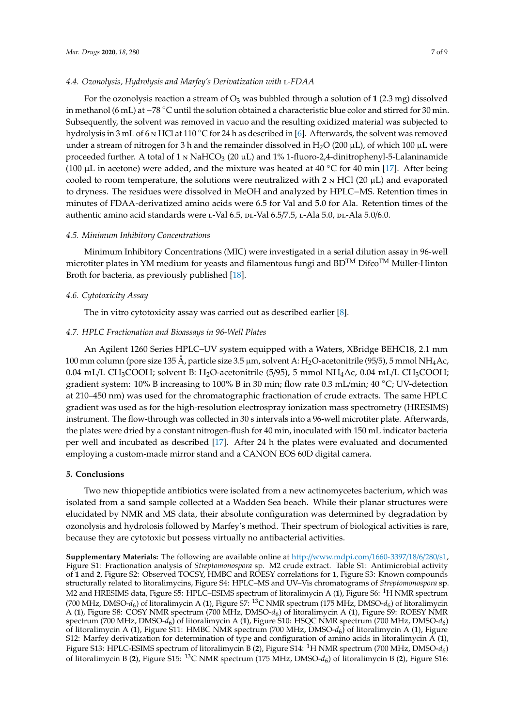#### *4.4. Ozonolysis, Hydrolysis and Marfey's Derivatization with* l*-FDAA*

For the ozonolysis reaction a stream of  $O_3$  was bubbled through a solution of 1 (2.3 mg) dissolved in methanol (6 mL) at −<sup>78</sup> ◦C until the solution obtained a characteristic blue color and stirred for 30 min. Subsequently, the solvent was removed in vacuo and the resulting oxidized material was subjected to hydrolysis in 3 mL of 6 <sub>N</sub> HCl at 110 °C for 24 h as described in [\[6\]](#page-7-5). Afterwards, the solvent was removed under a stream of nitrogen for 3 h and the remainder dissolved in  $H_2O(200 \mu L)$ , of which 100  $\mu L$  were proceeded further. A total of 1  $\mu$  NaHCO<sub>3</sub> (20  $\mu$ L) and 1% 1-fluoro-2,4-dinitrophenyl-5-Lalaninamide (100  $\mu$ L in acetone) were added, and the mixture was heated at 40 °C for 40 min [\[17\]](#page-8-1). After being cooled to room temperature, the solutions were neutralized with 2  $\mu$  HCl (20  $\mu$ L) and evaporated to dryness. The residues were dissolved in MeOH and analyzed by HPLC−MS. Retention times in minutes of FDAA-derivatized amino acids were 6.5 for Val and 5.0 for Ala. Retention times of the authentic amino acid standards were L-Val 6.5, DL-Val 6.5/7.5, L-Ala 5.0, DL-Ala 5.0/6.0.

#### *4.5. Minimum Inhibitory Concentrations*

Minimum Inhibitory Concentrations (MIC) were investigated in a serial dilution assay in 96-well microtiter plates in YM medium for yeasts and filamentous fungi and  $BD^{TM}$  Difco<sup>TM</sup> Müller-Hinton Broth for bacteria, as previously published [\[18\]](#page-8-2).

#### *4.6. Cytotoxicity Assay*

The in vitro cytotoxicity assay was carried out as described earlier [\[8\]](#page-7-7).

#### *4.7. HPLC Fractionation and Bioassays in 96-Well Plates*

An Agilent 1260 Series HPLC–UV system equipped with a Waters, XBridge BEHC18, 2.1 mm 100 mm column (pore size 135 Å, particle size 3.5  $\mu$ m, solvent A: H<sub>2</sub>O-acetonitrile (95/5), 5 mmol NH<sub>4</sub>Ac, 0.04 mL/L CH<sub>3</sub>COOH; solvent B: H<sub>2</sub>O-acetonitrile (5/95), 5 mmol NH<sub>4</sub>Ac, 0.04 mL/L CH<sub>3</sub>COOH; gradient system: 10% B increasing to 100% B in 30 min; flow rate 0.3 mL/min; 40 ◦C; UV-detection at 210–450 nm) was used for the chromatographic fractionation of crude extracts. The same HPLC gradient was used as for the high-resolution electrospray ionization mass spectrometry (HRESIMS) instrument. The flow-through was collected in 30 s intervals into a 96-well microtiter plate. Afterwards, the plates were dried by a constant nitrogen-flush for 40 min, inoculated with 150 mL indicator bacteria per well and incubated as described [\[17\]](#page-8-1). After 24 h the plates were evaluated and documented employing a custom-made mirror stand and a CANON EOS 60D digital camera.

#### **5. Conclusions**

Two new thiopeptide antibiotics were isolated from a new actinomycetes bacterium, which was isolated from a sand sample collected at a Wadden Sea beach. While their planar structures were elucidated by NMR and MS data, their absolute configuration was determined by degradation by ozonolysis and hydrolosis followed by Marfey's method. Their spectrum of biological activities is rare, because they are cytotoxic but possess virtually no antibacterial activities.

**Supplementary Materials:** The following are available online at http://[www.mdpi.com](http://www.mdpi.com/1660-3397/18/6/280/s1)/1660-3397/18/6/280/s1, Figure S1: Fractionation analysis of *Streptomonospora* sp. M2 crude extract. Table S1: Antimicrobial activity of **1** and **2**, Figure S2: Observed TOCSY, HMBC and ROESY correlations for **1**, Figure S3: Known compounds structurally related to litoralimycins, Figure S4: HPLC–MS and UV–Vis chromatograms of *Streptomonospora* sp. M2 and HRESIMS data, Figure S5: HPLC–ESIMS spectrum of litoralimycin A (**1**), Figure S6: <sup>1</sup>H NMR spectrum (700 MHz, DMSO- $d_6$ ) of litoralimycin A (1), Figure S7: <sup>13</sup>C NMR spectrum (175 MHz, DMSO- $d_6$ ) of litoralimycin A (**1**), Figure S8: COSY NMR spectrum (700 MHz, DMSO-*d*<sup>6</sup> ) of litoralimycin A (**1**), Figure S9: ROESY NMR spectrum (700 MHz, DMSO-*d*<sup>6</sup> ) of litoralimycin A (**1**), Figure S10: HSQC NMR spectrum (700 MHz, DMSO-*d*<sup>6</sup> ) of litoralimycin A (**1**), Figure S11: HMBC NMR spectrum (700 MHz, DMSO-*d*<sup>6</sup> ) of litoralimycin A (**1**), Figure S12: Marfey derivatization for determination of type and configuration of amino acids in litoralimycin A (**1**), Figure S13: HPLC-ESIMS spectrum of litoralimycin B (2), Figure S14: <sup>1</sup>H NMR spectrum (700 MHz, DMSO- $d_6$ ) of litoralimycin B (**2**), Figure S15: <sup>13</sup>C NMR spectrum (175 MHz, DMSO-*d*<sup>6</sup> ) of litoralimycin B (**2**), Figure S16: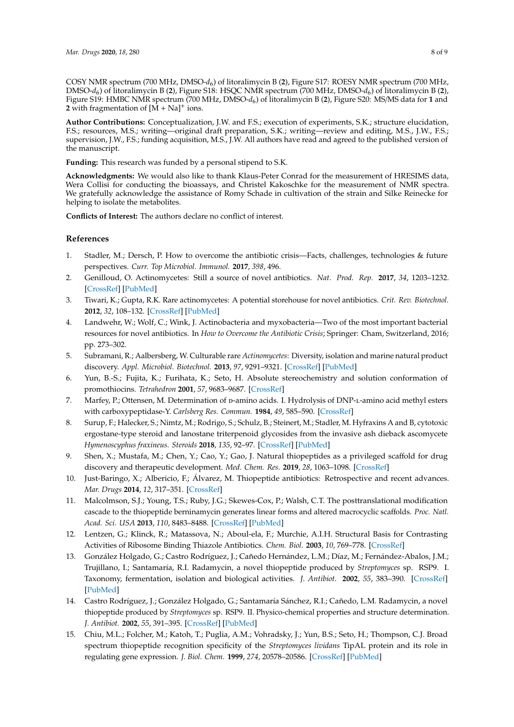COSY NMR spectrum (700 MHz, DMSO-*d*<sup>6</sup> ) of litoralimycin B (**2**), Figure S17: ROESY NMR spectrum (700 MHz, DMSO-*d*<sup>6</sup> ) of litoralimycin B (**2**), Figure S18: HSQC NMR spectrum (700 MHz, DMSO-*d*<sup>6</sup> ) of litoralimycin B (**2**), Figure S19: HMBC NMR spectrum (700 MHz, DMSO-*d*<sup>6</sup> ) of litoralimycin B (**2**), Figure S20: MS/MS data for **1** and **2** with fragmentation of  $[M + Na]$ <sup>+</sup> ions.

**Author Contributions:** Conceptualization, J.W. and F.S.; execution of experiments, S.K.; structure elucidation, F.S.; resources, M.S.; writing—original draft preparation, S.K.; writing—review and editing, M.S., J.W., F.S.; supervision, J.W., F.S.; funding acquisition, M.S., J.W. All authors have read and agreed to the published version of the manuscript.

**Funding:** This research was funded by a personal stipend to S.K.

**Acknowledgments:** We would also like to thank Klaus-Peter Conrad for the measurement of HRESIMS data, Wera Collisi for conducting the bioassays, and Christel Kakoschke for the measurement of NMR spectra. We gratefully acknowledge the assistance of Romy Schade in cultivation of the strain and Silke Reinecke for helping to isolate the metabolites.

**Conflicts of Interest:** The authors declare no conflict of interest.

#### **References**

- <span id="page-7-0"></span>1. Stadler, M.; Dersch, P. How to overcome the antibiotic crisis—Facts, challenges, technologies & future perspectives. *Curr. Top Microbiol. Immunol.* **2017**, *398*, 496.
- <span id="page-7-1"></span>2. Genilloud, O. Actinomycetes: Still a source of novel antibiotics. *Nat. Prod. Rep.* **2017**, *34*, 1203–1232. [\[CrossRef\]](http://dx.doi.org/10.1039/C7NP00026J) [\[PubMed\]](http://www.ncbi.nlm.nih.gov/pubmed/28820533)
- <span id="page-7-2"></span>3. Tiwari, K.; Gupta, R.K. Rare actinomycetes: A potential storehouse for novel antibiotics. *Crit. Rev. Biotechnol.* **2012**, *32*, 108–132. [\[CrossRef\]](http://dx.doi.org/10.3109/07388551.2011.562482) [\[PubMed\]](http://www.ncbi.nlm.nih.gov/pubmed/21619453)
- <span id="page-7-3"></span>4. Landwehr, W.; Wolf, C.; Wink, J. Actinobacteria and myxobacteria—Two of the most important bacterial resources for novel antibiotics. In *How to Overcome the Antibiotic Crisis*; Springer: Cham, Switzerland, 2016; pp. 273–302.
- <span id="page-7-4"></span>5. Subramani, R.; Aalbersberg, W. Culturable rare *Actinomycetes*: Diversity, isolation and marine natural product discovery. *Appl. Microbiol. Biotechnol.* **2013**, *97*, 9291–9321. [\[CrossRef\]](http://dx.doi.org/10.1007/s00253-013-5229-7) [\[PubMed\]](http://www.ncbi.nlm.nih.gov/pubmed/24057404)
- <span id="page-7-5"></span>6. Yun, B.-S.; Fujita, K.; Furihata, K.; Seto, H. Absolute stereochemistry and solution conformation of promothiocins. *Tetrahedron* **2001**, *57*, 9683–9687. [\[CrossRef\]](http://dx.doi.org/10.1016/S0040-4020(01)00979-6)
- <span id="page-7-6"></span>7. Marfey, P.; Ottensen, M. Determination of p-amino acids. I. Hydrolysis of DNP-L-amino acid methyl esters with carboxypeptidase-Y. *Carlsberg Res. Commun.* **1984**, *49*, 585–590. [\[CrossRef\]](http://dx.doi.org/10.1007/BF02908687)
- <span id="page-7-7"></span>8. Surup, F.; Halecker, S.; Nimtz, M.; Rodrigo, S.; Schulz, B.; Steinert, M.; Stadler, M. Hyfraxins A and B, cytotoxic ergostane-type steroid and lanostane triterpenoid glycosides from the invasive ash dieback ascomycete *Hymenoscyphus fraxineus*. *Steroids* **2018**, *135*, 92–97. [\[CrossRef\]](http://dx.doi.org/10.1016/j.steroids.2018.03.007) [\[PubMed\]](http://www.ncbi.nlm.nih.gov/pubmed/29580870)
- <span id="page-7-8"></span>9. Shen, X.; Mustafa, M.; Chen, Y.; Cao, Y.; Gao, J. Natural thiopeptides as a privileged scaffold for drug discovery and therapeutic development. *Med. Chem. Res.* **2019**, *28*, 1063–1098. [\[CrossRef\]](http://dx.doi.org/10.1007/s00044-019-02361-1)
- <span id="page-7-9"></span>10. Just-Baringo, X.; Albericio, F.; Álvarez, M. Thiopeptide antibiotics: Retrospective and recent advances. *Mar. Drugs* **2014**, *12*, 317–351. [\[CrossRef\]](http://dx.doi.org/10.3390/md12010317)
- <span id="page-7-10"></span>11. Malcolmson, S.J.; Young, T.S.; Ruby, J.G.; Skewes-Cox, P.; Walsh, C.T. The posttranslational modification cascade to the thiopeptide berninamycin generates linear forms and altered macrocyclic scaffolds. *Proc. Natl. Acad. Sci. USA* **2013**, *110*, 8483–8488. [\[CrossRef\]](http://dx.doi.org/10.1073/pnas.1307111110) [\[PubMed\]](http://www.ncbi.nlm.nih.gov/pubmed/23650400)
- <span id="page-7-11"></span>12. Lentzen, G.; Klinck, R.; Matassova, N.; Aboul-ela, F.; Murchie, A.I.H. Structural Basis for Contrasting Activities of Ribosome Binding Thiazole Antibiotics. *Chem. Biol.* **2003**, *10*, 769–778. [\[CrossRef\]](http://dx.doi.org/10.1016/S1074-5521(03)00173-X)
- <span id="page-7-12"></span>13. González Holgado, G.; Castro Rodríguez, J.; Cañedo Hernández, L.M.; Díaz, M.; Fernández-Abalos, J.M.; Trujillano, I.; Santamaría, R.I. Radamycin, a novel thiopeptide produced by *Streptomyces* sp. RSP9. I. Taxonomy, fermentation, isolation and biological activities. *J. Antibiot.* **2002**, *55*, 383–390. [\[CrossRef\]](http://dx.doi.org/10.7164/antibiotics.55.383) [\[PubMed\]](http://www.ncbi.nlm.nih.gov/pubmed/12061546)
- <span id="page-7-13"></span>14. Castro Rodríguez, J.; González Holgado, G.; Santamaría Sánchez, R.I.; Cañedo, L.M. Radamycin, a novel thiopeptide produced by *Streptomyces* sp. RSP9. II. Physico-chemical properties and structure determination. *J. Antibiot.* **2002**, *55*, 391–395. [\[CrossRef\]](http://dx.doi.org/10.7164/antibiotics.55.391) [\[PubMed\]](http://www.ncbi.nlm.nih.gov/pubmed/12061547)
- <span id="page-7-14"></span>15. Chiu, M.L.; Folcher, M.; Katoh, T.; Puglia, A.M.; Vohradsky, J.; Yun, B.S.; Seto, H.; Thompson, C.J. Broad spectrum thiopeptide recognition specificity of the *Streptomyces lividans* TipAL protein and its role in regulating gene expression. *J. Biol. Chem.* **1999**, *274*, 20578–20586. [\[CrossRef\]](http://dx.doi.org/10.1074/jbc.274.29.20578) [\[PubMed\]](http://www.ncbi.nlm.nih.gov/pubmed/10400688)